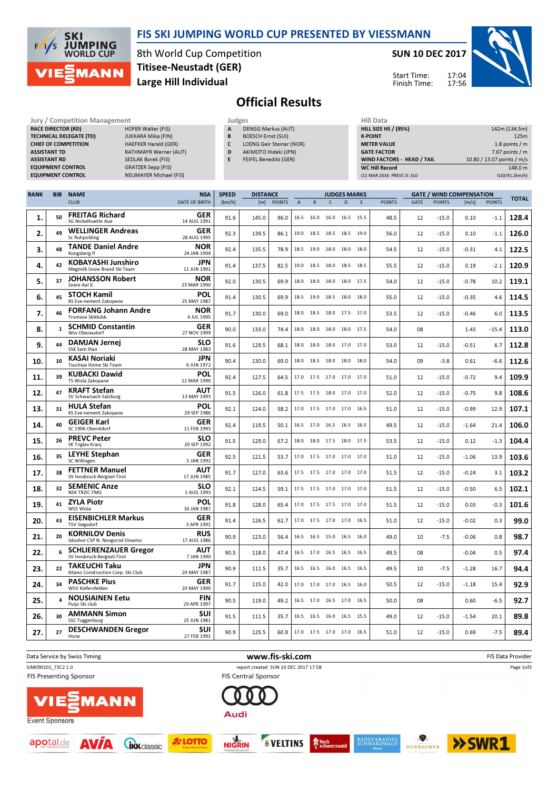

**SKI JUMPING**<br>WORLD CUP  $F/1/s$ **MANN** 

8th World Cup Competition Large Hill Individual Titisee-Neustadt (GER)

Jury / Competition Management **Accord Participates** Judges **Hill Data** 

SUN 10 DEC 2017



17:04 17:56 Start Time: Finish Time:

## Official Results

|             | <b>RACE DIRECTOR (RD)</b><br><b>ASSISTANT TD</b><br><b>ASSISTANT RD</b> | <b>TECHNICAL DELEGATE (TD)</b><br><b>CHIEF OF COMPETITION</b><br><b>EQUIPMENT CONTROL</b><br><b>EQUIPMENT CONTROL</b> | <b>HOFER Walter (FIS)</b><br>JUKKARA Mika (FIN)<br><b>HAEFKER Harald (GER)</b><br><b>RATHMAYR Werner (AUT)</b><br>SEDLAK Borek (FIS)<br><b>GRATZER Sepp (FIS)</b><br><b>NEUMAYER Michael (FIS)</b> |                           | A<br>B<br>c<br>D<br>E | <b>DENGG Markus (AUT)</b><br><b>BOESCH Ernst (SUI)</b><br>LOENG Geir Steinar (NOR)<br>AKIMOTO Hideki (JPN)<br>FEIFEL Benedikt (GER) |               |                |      | <b>HILL SIZE HS / (95%)</b><br><b>K-POINT</b><br><b>METER VALUE</b><br><b>GATE FACTOR</b><br>WIND FACTORS - HEAD / TAIL<br><b>WC Hill Record</b><br>(11 MAR 2016 PREVC D. SLO |                     |   |               |             |               | 142m (134.5m)<br>125m<br>1.8 points / m<br>7.67 points / $m$<br>10.80 / 13.07 points / m/s<br>148.0 m<br>G10/91.2km/h) |               |              |  |
|-------------|-------------------------------------------------------------------------|-----------------------------------------------------------------------------------------------------------------------|----------------------------------------------------------------------------------------------------------------------------------------------------------------------------------------------------|---------------------------|-----------------------|-------------------------------------------------------------------------------------------------------------------------------------|---------------|----------------|------|-------------------------------------------------------------------------------------------------------------------------------------------------------------------------------|---------------------|---|---------------|-------------|---------------|------------------------------------------------------------------------------------------------------------------------|---------------|--------------|--|
| <b>RANK</b> | <b>BIB</b>                                                              | <b>NAME</b>                                                                                                           |                                                                                                                                                                                                    | <b>NSA</b>                | <b>SPEED</b>          | <b>DISTANCE</b>                                                                                                                     |               |                |      |                                                                                                                                                                               | <b>JUDGES MARKS</b> |   |               |             |               | <b>GATE / WIND COMPENSATION</b>                                                                                        |               | <b>TOTAL</b> |  |
|             |                                                                         | <b>CLUB</b>                                                                                                           |                                                                                                                                                                                                    | DATE OF BIRTH             | [km/h]                | [m]                                                                                                                                 | <b>POINTS</b> | $\overline{A}$ | B.   | $\mathsf{C}$                                                                                                                                                                  | D                   | E | <b>POINTS</b> | <b>GATE</b> | <b>POINTS</b> | $\lfloor m/s \rfloor$                                                                                                  | <b>POINTS</b> |              |  |
| 1.          | 50                                                                      | <b>FREITAG Richard</b><br><b>SG Nickelhuette Aue</b>                                                                  |                                                                                                                                                                                                    | <b>GER</b><br>14 AUG 1991 | 91.6                  | 145.0                                                                                                                               | 96.0          | 16.5           | 16.0 | 16.0                                                                                                                                                                          | 16.5 15.5           |   | 48.5          | 12          | $-15.0$       | 0.10                                                                                                                   | $-1.1$        | 128.4        |  |
| 2.          | 49                                                                      | <b>WELLINGER Andreas</b><br>Sc Ruhpolding                                                                             |                                                                                                                                                                                                    | <b>GER</b><br>28 AUG 1995 | 92.3                  | 139.5                                                                                                                               | 86.1          |                |      | 19.0 18.5 18.5 18.5 19.0                                                                                                                                                      |                     |   | 56.0          | 12          | $-15.0$       | 0.10                                                                                                                   | $-1.1$        | 126.0        |  |
| 3.          | 48                                                                      | <b>TANDE Daniel Andre</b><br>Kongsberg If                                                                             |                                                                                                                                                                                                    | <b>NOR</b><br>24 JAN 1994 | 92.4                  | 135.5                                                                                                                               | 78.9          |                |      | 18.5 19.0 18.0 18.0 18.0                                                                                                                                                      |                     |   | 54.5          | 12          | $-15.0$       | $-0.31$                                                                                                                | 4.1           | 122.5        |  |
| 4.          | 42                                                                      | <b>KOBAYASHI Junshiro</b><br>Megmilk Snow Brand Ski Team                                                              |                                                                                                                                                                                                    | <b>JPN</b><br>11 JUN 1991 | 91.4                  | 137.5                                                                                                                               | 82.5          |                |      | 19.0 18.5 18.0 18.5 18.5                                                                                                                                                      |                     |   | 55.5          | 12          | $-15.0$       | 0.19                                                                                                                   | $-2.1$        | 120.9        |  |
| 5.          | 37                                                                      | <b>JOHANSSON Robert</b><br>Soere Aal IL                                                                               |                                                                                                                                                                                                    | <b>NOR</b><br>23 MAR 1990 | 92.0                  | 130.5                                                                                                                               | 69.9          | 18.0           |      | 18.0 18.0 18.0 17.5                                                                                                                                                           |                     |   | 54.0          | 12          | $-15.0$       | $-0.78$                                                                                                                | 10.2          | 119.1        |  |
| 6.          | 45                                                                      | <b>STOCH Kamil</b><br>KS Eve-nement Zakopane                                                                          |                                                                                                                                                                                                    | <b>POL</b><br>25 MAY 1987 | 91.4                  | 130.5                                                                                                                               | 69.9          |                |      | 18.5 19.0 18.5 18.0 18.0                                                                                                                                                      |                     |   | 55.0          | 12          | $-15.0$       | $-0.35$                                                                                                                | 4.6           | 114.5        |  |
| 7.          | 46                                                                      | <b>FORFANG Johann Andre</b><br><b>Tromsoe Skiklubb</b>                                                                |                                                                                                                                                                                                    | <b>NOR</b><br>4 JUL 1995  | 91.7                  | 130.0                                                                                                                               | 69.0          |                |      | 18.0 18.5 18.0 17.5 17.0                                                                                                                                                      |                     |   | 53.5          | 12          | $-15.0$       | $-0.46$                                                                                                                | 6.0           | 113.5        |  |
| 8.          |                                                                         | <b>SCHMID Constantin</b><br>Wsv Oberaudorf                                                                            |                                                                                                                                                                                                    | <b>GER</b><br>27 NOV 1999 | 90.0                  | 133.0                                                                                                                               | 74.4          |                |      | 18.0 18.0 18.0 18.0 17.5                                                                                                                                                      |                     |   | 54.0          | 08          |               | 1.43                                                                                                                   | $-15.4$       | 113.0        |  |
| 9.          | 44                                                                      | <b>DAMJAN Jernej</b><br>SSK Sam Ihan                                                                                  |                                                                                                                                                                                                    | <b>SLO</b><br>28 MAY 1983 | 91.6                  | 129.5                                                                                                                               | 68.1          |                |      | 18.0 18.0 18.0 17.0 17.0                                                                                                                                                      |                     |   | 53.0          | 12          | $-15.0$       | $-0.51$                                                                                                                | 6.7           | 112.8        |  |
| 10.         | 10                                                                      | <b>KASAI Noriaki</b><br>Tsuchiva Home Ski Team                                                                        |                                                                                                                                                                                                    | <b>JPN</b><br>6 JUN 1972  | 90.4                  | 130.0                                                                                                                               | 69.0          |                |      | 18.0 18.5 18.0 18.0 18.0                                                                                                                                                      |                     |   | 54.0          | 09          | $-3.8$        | 0.61                                                                                                                   | $-6.6$        | 112.6        |  |
| 11.         | 39                                                                      | <b>KUBACKI Dawid</b><br>TS Wisla Zakopane                                                                             |                                                                                                                                                                                                    | <b>POL</b><br>12 MAR 1990 | 92.4                  | 127.5                                                                                                                               | 64.5          |                |      | 17.0 17.5 17.0 17.0 17.0                                                                                                                                                      |                     |   | 51.0          | 12          | $-15.0$       | $-0.72$                                                                                                                | 9.4           | 109.9        |  |
| 12.         | 47                                                                      | <b>KRAFT Stefan</b><br>SV Schwarzach-Salzburg                                                                         |                                                                                                                                                                                                    | <b>AUT</b><br>13 MAY 1993 | 91.5                  | 126.0                                                                                                                               | 61.8          |                |      | 17.5 17.5 18.0 17.0 17.0                                                                                                                                                      |                     |   | 52.0          | 12          | $-15.0$       | $-0.75$                                                                                                                | 9.8           | 108.6        |  |
|             |                                                                         |                                                                                                                       |                                                                                                                                                                                                    |                           |                       |                                                                                                                                     |               |                |      |                                                                                                                                                                               |                     |   |               |             |               |                                                                                                                        |               |              |  |

| 11. | 39 | KUBACKI Dawid<br>TS Wisla Zakopane                          | <b>POL</b><br>12 MAR 1990 | 92.4 | 127.5 | 64.5 | 17.0 17.5 17.0 17.0 17.0 |           |      | 51.0 | 12 | $-15.0$ | $-0.72$ | 9.4    | 109.9 |
|-----|----|-------------------------------------------------------------|---------------------------|------|-------|------|--------------------------|-----------|------|------|----|---------|---------|--------|-------|
| 12. | 47 | <b>KRAFT Stefan</b><br>SV Schwarzach-Salzburg               | <b>AUT</b><br>13 MAY 1993 | 91.5 | 126.0 | 61.8 | 17.5 17.5 18.0 17.0 17.0 |           |      | 52.0 | 12 | $-15.0$ | $-0.75$ | 9.8    | 108.6 |
| 13. | 31 | <b>HULA Stefan</b><br>KS Eve-nement Zakopane                | <b>POL</b><br>29 SEP 1986 | 92.1 | 124.0 | 58.2 | 17.0 17.5 17.0 17.0 16.5 |           |      | 51.0 | 12 | $-15.0$ | $-0.99$ | 12.9   | 107.1 |
| 14. | 40 | <b>GEIGER Karl</b><br>SC 1906 Oberstdorf                    | <b>GER</b><br>11 FEB 1993 | 92.4 | 119.5 | 50.1 | 16.5 17.0 16.5 16.5 16.5 |           |      | 49.5 | 12 | $-15.0$ | $-1.64$ | 21.4   | 106.0 |
| 15. | 26 | <b>PREVC Peter</b><br>SK Triglav Kranj                      | <b>SLO</b><br>20 SEP 1992 | 91.5 | 129.0 | 67.2 | 18.0 18.0 17.5 18.0 17.5 |           |      | 53.5 | 12 | $-15.0$ | 0.12    | $-1.3$ | 104.4 |
| 16. | 35 | LEYHE Stephan<br>SC Willingen                               | <b>GER</b><br>5 JAN 1992  | 92.5 | 121.5 | 53.7 | 17.0 17.5 17.0 17.0 17.0 |           |      | 51.0 | 12 | $-15.0$ | $-1.06$ | 13.9   | 103.6 |
| 17. | 38 | <b>FETTNER Manuel</b><br>SV Innsbruck-Bergisel-Tirol        | <b>AUT</b><br>17 JUN 1985 | 91.7 | 127.0 | 63.6 | 17.5 17.5 17.0 17.0 17.0 |           |      | 51.5 | 12 | $-15.0$ | $-0.24$ | 3.1    | 103.2 |
| 18. | 32 | <b>SEMENIC Anze</b><br><b>NSK TRZIC FMG</b>                 | <b>SLO</b><br>1 AUG 1993  | 92.1 | 124.5 | 59.1 | 17.5 17.5 17.0 17.0 17.0 |           |      | 51.5 | 12 | $-15.0$ | $-0.50$ | 6.5    | 102.1 |
| 19. | 41 | <b>ZYLA Piotr</b><br>WSS Wisla                              | <b>POL</b><br>16 JAN 1987 | 91.8 | 128.0 | 65.4 | 17.0 17.5 17.5 17.0 17.0 |           |      | 51.5 | 12 | $-15.0$ | 0.03    | $-0.3$ | 101.6 |
| 20. | 43 | <b>EISENBICHLER Markus</b><br><b>TSV Siegsdorf</b>          | <b>GER</b><br>3 APR 1991  | 91.4 | 126.5 | 62.7 | 17.0 17.5 17.0 17.0 16.5 |           |      | 51.0 | 12 | $-15.0$ | $-0.02$ | 0.3    | 99.0  |
| 21. | 20 | <b>KORNILOV Denis</b><br>Sdushor CSP N. Novgorod Dinamo     | <b>RUS</b><br>17 AUG 1986 | 90.9 | 123.0 | 56.4 | 16.5 16.5 15.0 16.5 16.0 |           |      | 49.0 | 10 | $-7.5$  | $-0.06$ | 0.8    | 98.7  |
| 22. |    | <b>SCHLIERENZAUER Gregor</b><br>SV Innsbruck-Bergisel-Tirol | <b>AUT</b><br>7 JAN 1990  | 90.5 | 118.0 | 47.4 | 16.5 17.0 16.5 16.5      |           | 16.5 | 49.5 | 08 |         | $-0.04$ | 0.5    | 97.4  |
| 23. | 22 | <b>TAKEUCHI Taku</b><br>Kitano Construction Corp. Ski Club  | <b>JPN</b><br>20 MAY 1987 | 90.9 | 111.5 | 35.7 | 16.5 16.5 16.0 16.5 16.5 |           |      | 49.5 | 10 | $-7.5$  | $-1.28$ | 16.7   | 94.4  |
| 24. | 34 | <b>PASCHKE Pius</b><br>WSV Kiefersfelden                    | <b>GER</b><br>20 MAY 1990 | 91.7 | 115.0 | 42.0 | 17.0 17.0 17.0 16.5 16.0 |           |      | 50.5 | 12 | $-15.0$ | $-1.18$ | 15.4   | 92.9  |
| 25. |    | <b>NOUSIAINEN Eetu</b><br>Puijo Ski club                    | <b>FIN</b><br>29 APR 1997 | 90.5 | 119.0 | 49.2 | 16.5 17.0 16.5 17.0      |           | 16.5 | 50.0 | 08 |         | 0.60    | $-6.5$ | 92.7  |
| 26. | 30 | <b>AMMANN Simon</b><br><b>SSC Toggenburg</b>                | <b>SUI</b><br>25 JUN 1981 | 91.5 | 111.5 | 35.7 | 16.5 16.5 16.0           | 16.5 15.5 |      | 49.0 | 12 | $-15.0$ | $-1.54$ | 20.1   | 89.8  |
| 27. | 27 | <b>DESCHWANDEN Gregor</b><br>Horw                           | <b>SUI</b><br>27 FEB 1991 | 90.9 | 125.5 | 60.9 | 17.0 17.5 17.0 17.0 16.5 |           |      | 51.0 | 12 | $-15.0$ | 0.69    | $-7.5$ | 89.4  |
|     |    |                                                             |                           |      |       |      |                          |           |      |      |    |         |         |        |       |

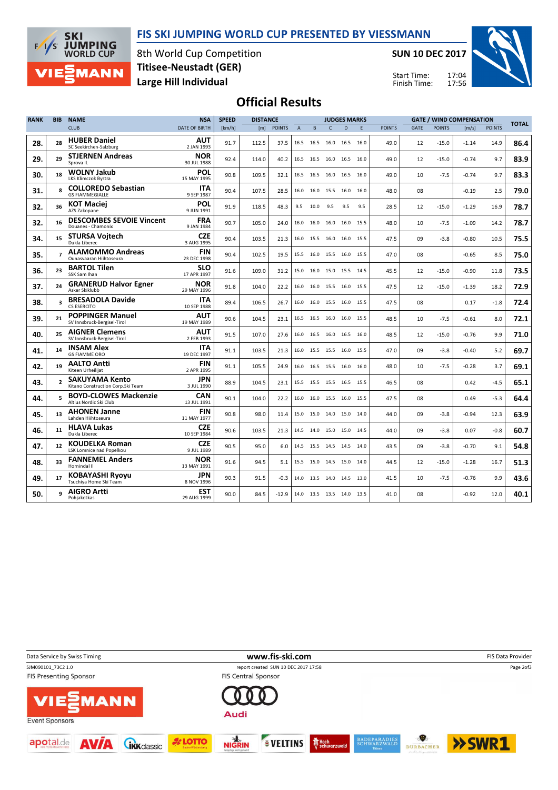



8th World Cup Competition Large Hill Individual Titisee-Neustadt (GER)

SUN 10 DEC 2017



17:04 17:56 Start Time: Finish Time:

## Official Results

| <b>RANK</b> | <b>BIB</b>               | <b>NAME</b>                                                 | <b>NSA</b>                | <b>SPEED</b> | <b>DISTANCE</b> | <b>JUDGES MARKS</b> |                |           |                          |                |     | <b>GATE / WIND COMPENSATION</b> |             |               |         | <b>TOTAL</b>  |      |
|-------------|--------------------------|-------------------------------------------------------------|---------------------------|--------------|-----------------|---------------------|----------------|-----------|--------------------------|----------------|-----|---------------------------------|-------------|---------------|---------|---------------|------|
|             |                          | <b>CLUB</b>                                                 | DATE OF BIRTH             | [km/h]       | [m]             | <b>POINTS</b>       | $\overline{A}$ | B         | $\mathsf{C}$             | D              | E   | <b>POINTS</b>                   | <b>GATE</b> | <b>POINTS</b> | [m/s]   | <b>POINTS</b> |      |
| 28.         | 28                       | <b>HUBER Daniel</b><br>SC Seekirchen-Salzburg               | AUT<br>2 JAN 1993         | 91.7         | 112.5           | 37.5                |                |           | 16.5 16.5 16.0 16.5 16.0 |                |     | 49.0                            | 12          | $-15.0$       | $-1.14$ | 14.9          | 86.4 |
| 29.         | 29                       | <b>STJERNEN Andreas</b><br>Sprova IL                        | <b>NOR</b><br>30 JUL 1988 | 92.4         | 114.0           | 40.2                |                |           | 16.5 16.5 16.0 16.5 16.0 |                |     | 49.0                            | 12          | $-15.0$       | $-0.74$ | 9.7           | 83.9 |
| 30.         | 18                       | <b>WOLNY Jakub</b><br>LKS Klimczok Bystra                   | POL<br>15 MAY 1995        | 90.8         | 109.5           | 32.1                |                |           | 16.5 16.5 16.0 16.5 16.0 |                |     | 49.0                            | 10          | $-7.5$        | $-0.74$ | 9.7           | 83.3 |
| 31.         | <b>Q</b>                 | <b>COLLOREDO Sebastian</b><br><b>GS FIAMMEGIALLE</b>        | ITA<br>9 SEP 1987         | 90.4         | 107.5           | 28.5                |                |           | 16.0 16.0 15.5 16.0 16.0 |                |     | 48.0                            | 08          |               | $-0.19$ | 2.5           | 79.0 |
| 32.         | 36                       | <b>KOT Maciej</b><br>AZS Zakopane                           | POL<br>9 JUN 1991         | 91.9         | 118.5           | 48.3                |                | 9.5 10.0  | 9.5                      | 9.5            | 9.5 | 28.5                            | 12          | $-15.0$       | $-1.29$ | 16.9          | 78.7 |
| 32.         | 16                       | <b>DESCOMBES SEVOIE Vincent</b><br>Douanes - Chamonix       | <b>FRA</b><br>9 JAN 1984  | 90.7         | 105.0           | 24.0                |                |           | 16.0 16.0 16.0           | 16.0 15.5      |     | 48.0                            | 10          | $-7.5$        | $-1.09$ | 14.2          | 78.7 |
| 34.         | 15                       | <b>STURSA Voitech</b><br>Dukla Liberec                      | <b>CZE</b><br>3 AUG 1995  | 90.4         | 103.5           | 21.3                |                |           | 16.0 15.5 16.0 16.0 15.5 |                |     | 47.5                            | 09          | $-3.8$        | $-0.80$ | 10.5          | 75.5 |
| 35.         | $\overline{ }$           | <b>ALAMOMMO Andreas</b><br>Ounasvaaran Hiihtoseura          | FIN<br>23 DEC 1998        | 90.4         | 102.5           | 19.5                |                |           | 15.5 16.0 15.5 16.0 15.5 |                |     | 47.0                            | 08          |               | $-0.65$ | 8.5           | 75.0 |
| 36.         | 23                       | <b>BARTOL Tilen</b><br>SSK Sam Ihan                         | SLO<br>17 APR 1997        | 91.6         | 109.0           | 31.2                |                | 15.0 16.0 | 15.0 15.5 14.5           |                |     | 45.5                            | 12          | $-15.0$       | $-0.90$ | 11.8          | 73.5 |
| 37.         | 24                       | <b>GRANERUD Halvor Egner</b><br>Asker Skiklubb              | <b>NOR</b><br>29 MAY 1996 | 91.8         | 104.0           | 22.2                |                |           | 16.0 16.0 15.5 16.0 15.5 |                |     | 47.5                            | 12          | $-15.0$       | $-1.39$ | 18.2          | 72.9 |
| 38.         | $\overline{\mathbf{a}}$  | <b>BRESADOLA Davide</b><br>CS ESERCITO                      | <b>ITA</b><br>10 SEP 1988 | 89.4         | 106.5           | 26.7                | 16.0           | 16.0      |                          | 15.5 16.0 15.5 |     | 47.5                            | 08          |               | 0.17    | $-1.8$        | 72.4 |
| 39.         | 21                       | <b>POPPINGER Manuel</b><br>SV Innsbruck-Bergisel-Tirol      | AUT<br>19 MAY 1989        | 90.6         | 104.5           | 23.1                |                |           | 16.5 16.5 16.0 16.0 15.5 |                |     | 48.5                            | 10          | $-7.5$        | $-0.61$ | 8.0           | 72.1 |
| 40.         | 25                       | <b>AIGNER Clemens</b><br>SV Innsbruck-Bergisel-Tirol        | AUT<br>2 FEB 1993         | 91.5         | 107.0           | 27.6                |                |           | 16.0 16.5 16.0 16.5 16.0 |                |     | 48.5                            | 12          | $-15.0$       | $-0.76$ | 9.9           | 71.0 |
| 41.         | 14                       | <b>INSAM Alex</b><br><b>GS FIAMME ORO</b>                   | <b>ITA</b><br>19 DEC 1997 | 91.1         | 103.5           | 21.3                |                |           | 16.0 15.5 15.5 16.0 15.5 |                |     | 47.0                            | 09          | $-3.8$        | $-0.40$ | 5.2           | 69.7 |
| 42.         | 19                       | <b>AALTO Antti</b><br>Kiteen Urheilijat                     | <b>FIN</b><br>2 APR 1995  | 91.1         | 105.5           | 24.9                |                |           | 16.0 16.5 15.5 16.0 16.0 |                |     | 48.0                            | 10          | $-7.5$        | $-0.28$ | 3.7           | 69.1 |
| 43.         | $\overline{\phantom{a}}$ | <b>SAKUYAMA Kento</b><br>Kitano Construction Corp. Ski Team | <b>JPN</b><br>3 JUL 1990  | 88.9         | 104.5           | 23.1                |                |           | 15.5 15.5 15.5 16.5 15.5 |                |     | 46.5                            | 08          |               | 0.42    | $-4.5$        | 65.1 |
| 44.         | 5.                       | <b>BOYD-CLOWES Mackenzie</b><br>Altius Nordic Ski Club      | CAN<br>13 JUL 1991        | 90.1         | 104.0           | 22.2                |                |           | 16.0 16.0 15.5 16.0 15.5 |                |     | 47.5                            | 08          |               | 0.49    | $-5.3$        | 64.4 |
| 45.         | 13                       | <b>AHONEN Janne</b><br>Lahden Hiihtoseura                   | <b>FIN</b><br>11 MAY 1977 | 90.8         | 98.0            | 11.4                |                |           | 15.0 15.0 14.0 15.0 14.0 |                |     | 44.0                            | 09          | $-3.8$        | $-0.94$ | 12.3          | 63.9 |
| 46.         | 11                       | <b>HLAVA Lukas</b><br>Dukla Liberec                         | <b>CZE</b><br>10 SEP 1984 | 90.6         | 103.5           | 21.3                |                |           | 14.5 14.0 15.0 15.0 14.5 |                |     | 44.0                            | 09          | $-3.8$        | 0.07    | $-0.8$        | 60.7 |
| 47.         | 12                       | <b>KOUDELKA Roman</b><br><b>LSK Lomnice nad Popelkou</b>    | <b>CZE</b><br>9 JUL 1989  | 90.5         | 95.0            | 6.0                 |                |           | 14.5 15.5 14.5 14.5 14.0 |                |     | 43.5                            | 09          | $-3.8$        | $-0.70$ | 9.1           | 54.8 |
| 48.         | 33                       | <b>FANNEMEL Anders</b><br>Hornindal II                      | <b>NOR</b><br>13 MAY 1991 | 91.6         | 94.5            | 5.1                 |                |           | 15.5 15.0 14.5 15.0 14.0 |                |     | 44.5                            | 12          | $-15.0$       | $-1.28$ | 16.7          | 51.3 |
| 49.         | 17                       | <b>KOBAYASHI Ryoyu</b><br>Tsuchiva Home Ski Team            | JPN<br>8 NOV 1996         | 90.3         | 91.5            | -0.3                |                |           | 14.0 13.5 14.0 14.5 13.0 |                |     | 41.5                            | 10          | $-7.5$        | $-0.76$ | 9.9           | 43.6 |
| 50.         | q                        | <b>AIGRO Artti</b><br>Pohjakotkas                           | <b>EST</b><br>29 AUG 1999 | 90.0         | 84.5            | $-12.9$             |                |           | 14.0 13.5 13.5 14.0 13.5 |                |     | 41.0                            | 08          |               | $-0.92$ | 12.0          | 40.1 |